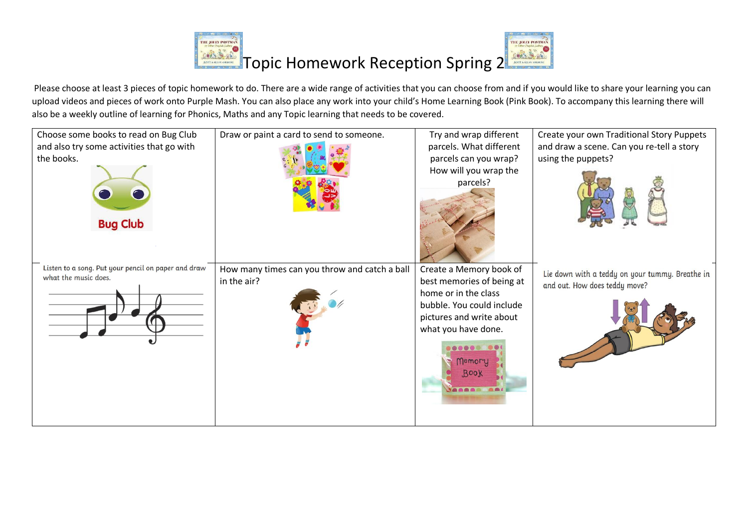

Please choose at least 3 pieces of topic homework to do. There are a wide range of activities that you can choose from and if you would like to share your learning you can upload videos and pieces of work onto Purple Mash. You can also place any work into your child's Home Learning Book (Pink Book). To accompany this learning there will also be a weekly outline of learning for Phonics, Maths and any Topic learning that needs to be covered.